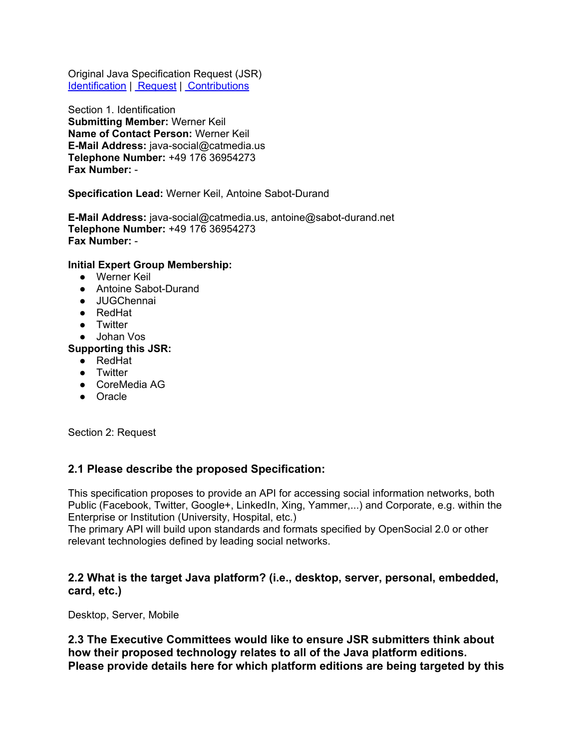Original Java Specification Request (JSR) Identification | Request | [Contributions](#page-4-0)

Section 1. Identification **Submitting Member:** Werner Keil **Name of Contact Person:** Werner Keil **E-Mail Address:** java-social@catmedia.us **Telephone Number:** +49 176 36954273 **Fax Number:** -

**Specification Lead:** Werner Keil, Antoine Sabot-Durand

**E-Mail Address:** java-social@catmedia.us, antoine@sabot-durand.net **Telephone Number:** +49 176 36954273 **Fax Number:** -

#### **Initial Expert Group Membership:**

- Werner Keil
- Antoine Sabot-Durand
- JUGChennai
- RedHat
- Twitter
- Johan Vos

#### **Supporting this JSR:**

- RedHat
- Twitter
- CoreMedia AG
- Oracle

Section 2: Request

#### **2.1 Please describe the proposed Specification:**

This specification proposes to provide an API for accessing social information networks, both Public (Facebook, Twitter, Google+, LinkedIn, Xing, Yammer,...) and Corporate, e.g. within the Enterprise or Institution (University, Hospital, etc.)

The primary API will build upon standards and formats specified by OpenSocial 2.0 or other relevant technologies defined by leading social networks.

#### **2.2 What is the target Java platform? (i.e., desktop, server, personal, embedded, card, etc.)**

Desktop, Server, Mobile

**2.3 The Executive Committees would like to ensure JSR submitters think about how their proposed technology relates to all of the Java platform editions. Please provide details here for which platform editions are being targeted by this**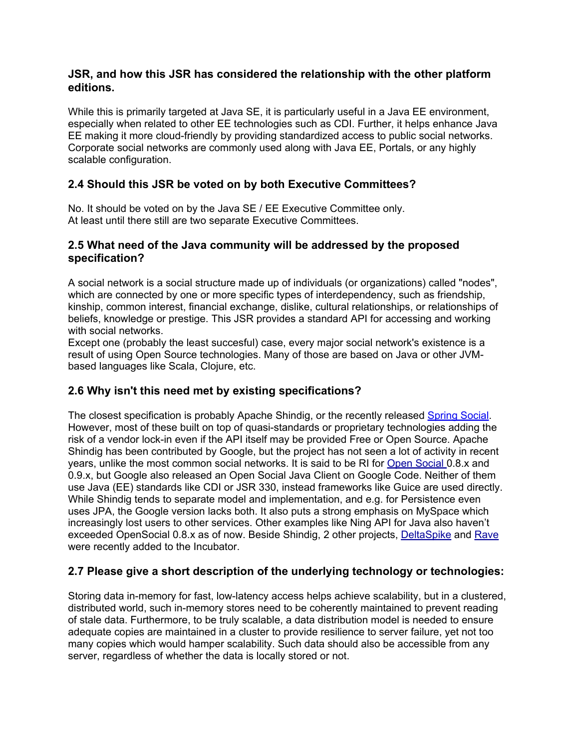### **JSR, and how this JSR has considered the relationship with the other platform editions.**

While this is primarily targeted at Java SE, it is particularly useful in a Java EE environment, especially when related to other EE technologies such as CDI. Further, it helps enhance Java EE making it more cloud-friendly by providing standardized access to public social networks. Corporate social networks are commonly used along with Java EE, Portals, or any highly scalable configuration.

# **2.4 Should this JSR be voted on by both Executive Committees?**

No. It should be voted on by the Java SE / EE Executive Committee only. At least until there still are two separate Executive Committees.

### **2.5 What need of the Java community will be addressed by the proposed specification?**

A social network is a social structure made up of individuals (or organizations) called "nodes", which are connected by one or more specific types of interdependency, such as friendship, kinship, common interest, financial exchange, dislike, cultural relationships, or relationships of beliefs, knowledge or prestige. This JSR provides a standard API for accessing and working with social networks.

Except one (probably the least succesful) case, every major social network's existence is a result of using Open Source technologies. Many of those are based on Java or other JVMbased languages like Scala, Clojure, etc.

## **2.6 Why isn't this need met by existing specifications?**

The closest specification is probably Apache Shindig, or the recently released [Spring](http://www.springsource.org/spring-social) [Social](http://www.springsource.org/spring-social). However, most of these built on top of quasi-standards or proprietary technologies adding the risk of a vendor lock-in even if the API itself may be provided Free or Open Source. Apache Shindig has been contributed by Google, but the project has not seen a lot of activity in recent years, unlike the most common social networks. It is said to be RI for [Open](http://docs.opensocial.org/display/OS/Home) [Social](http://docs.opensocial.org/display/OS/Home) 0.8.x and 0.9.x, but Google also released an Open Social Java Client on Google Code. Neither of them use Java (EE) standards like CDI or JSR 330, instead frameworks like Guice are used directly. While Shindig tends to separate model and implementation, and e.g. for Persistence even uses JPA, the Google version lacks both. It also puts a strong emphasis on MySpace which increasingly lost users to other services. Other examples like Ning API for Java also haven't exceeded OpenSocial 0.8.x as of now. Beside Shindig, 2 other projects, [DeltaSpike](http://wiki.apache.org/incubator/DeltaSpikeProposal) and [Rave](http://incubator.apache.org/rave/) were recently added to the Incubator.

# **2.7 Please give a short description of the underlying technology or technologies:**

Storing data in-memory for fast, low-latency access helps achieve scalability, but in a clustered, distributed world, such in-memory stores need to be coherently maintained to prevent reading of stale data. Furthermore, to be truly scalable, a data distribution model is needed to ensure adequate copies are maintained in a cluster to provide resilience to server failure, yet not too many copies which would hamper scalability. Such data should also be accessible from any server, regardless of whether the data is locally stored or not.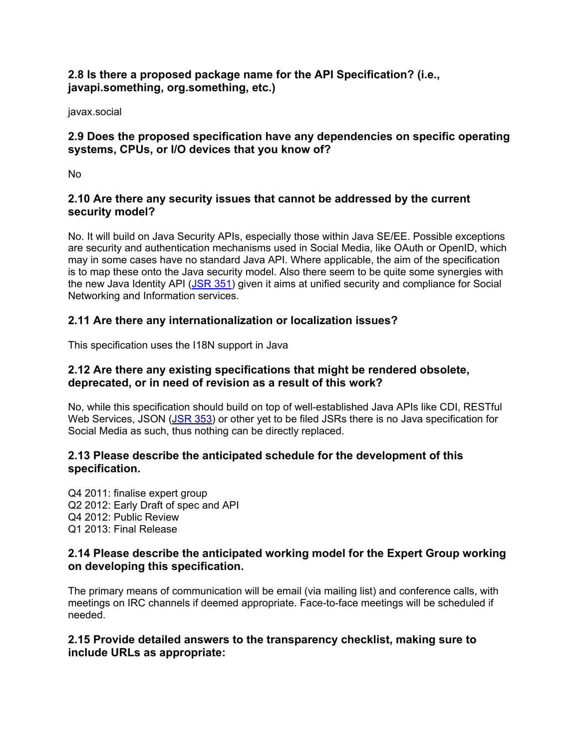## **2.8 Is there a proposed package name for the API Specification? (i.e., javapi.something, org.something, etc.)**

javax.social

## **2.9 Does the proposed specification have any dependencies on specific operating systems, CPUs, or I/O devices that you know of?**

No

## **2.10 Are there any security issues that cannot be addressed by the current security model?**

No. It will build on Java Security APIs, especially those within Java SE/EE. Possible exceptions are security and authentication mechanisms used in Social Media, like OAuth or OpenID, which may in some cases have no standard Java API. Where applicable, the aim of the specification is to map these onto the Java security model. Also there seem to be quite some synergies with the new Java Identity API ([JSR](http://jcp.org/en/jsr/detail?id=351) [351](http://jcp.org/en/jsr/detail?id=351)) given it aims at unified security and compliance for Social Networking and Information services.

# **2.11 Are there any internationalization or localization issues?**

This specification uses the I18N support in Java

## **2.12 Are there any existing specifications that might be rendered obsolete, deprecated, or in need of revision as a result of this work?**

No, while this specification should build on top of well-established Java APIs like CDI, RESTful Web Services, JSON [\(JSR](http://jcp.org/en/jsr/detail?id=353) [353](http://jcp.org/en/jsr/detail?id=353)) or other yet to be filed JSRs there is no Java specification for Social Media as such, thus nothing can be directly replaced.

### **2.13 Please describe the anticipated schedule for the development of this specification.**

Q4 2011: finalise expert group Q2 2012: Early Draft of spec and API Q4 2012: Public Review Q1 2013: Final Release

### **2.14 Please describe the anticipated working model for the Expert Group working on developing this specification.**

The primary means of communication will be email (via mailing list) and conference calls, with meetings on IRC channels if deemed appropriate. Face-to-face meetings will be scheduled if needed.

### **2.15 Provide detailed answers to the transparency checklist, making sure to include URLs as appropriate:**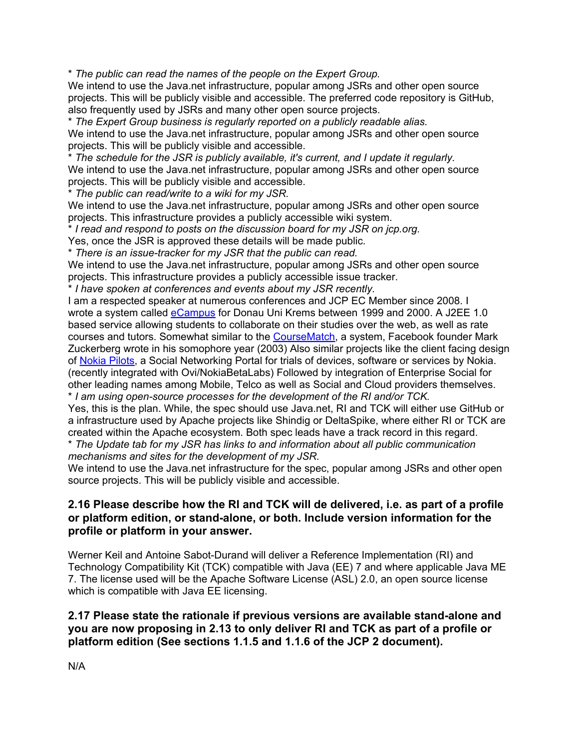\* *The public can read the names of the people on the Expert Group.*

We intend to use the Java.net infrastructure, popular among JSRs and other open source projects. This will be publicly visible and accessible. The preferred code repository is GitHub, also frequently used by JSRs and many other open source projects.

\* *The Expert Group business is regularly reported on a publicly readable alias.*

We intend to use the Java.net infrastructure, popular among JSRs and other open source projects. This will be publicly visible and accessible.

\* *The schedule for the JSR is publicly available, it's current, and I update it regularly.* We intend to use the Java.net infrastructure, popular among JSRs and other open source projects. This will be publicly visible and accessible.

\* *The public can read/write to a wiki for my JSR.*

We intend to use the Java.net infrastructure, popular among JSRs and other open source projects. This infrastructure provides a publicly accessible wiki system.

\* *I read and respond to posts on the discussion board for my JSR on jcp.org.*

Yes, once the JSR is approved these details will be made public.

\* *There is an issue-tracker for my JSR that the public can read.*

We intend to use the Java.net infrastructure, popular among JSRs and other open source projects. This infrastructure provides a publicly accessible issue tracker.

\* *I have spoken at conferences and events about my JSR recently.*

I am a respected speaker at numerous conferences and JCP EC Member since 2008. I wrote a system called [eCampus](http://it.artindustrial.com/referenzen/kunden/informationen-nach-kunde/projektdetails/?tx_ttnews%5Btt_news%5D=24&cHash=7c6d9cb353b1e77ed083f34b65e846a4) for Donau Uni Krems between 1999 and 2000. A J2EE 1.0 based service allowing students to collaborate on their studies over the web, as well as rate courses and tutors. Somewhat similar to the **[CourseMatch](http://en.wikipedia.org/wiki/History_of_Facebook#Facemash)**, a system, Facebook founder Mark Zuckerberg wrote in his somophore year (2003) Also similar projects like the client facing design of [Nokia](http://ncomprod.nokia.com/developers/nokia_pilots) [Pilots](http://ncomprod.nokia.com/developers/nokia_pilots), a Social Networking Portal for trials of devices, software or services by Nokia. (recently integrated with Ovi/NokiaBetaLabs) Followed by integration of Enterprise Social for other leading names among Mobile, Telco as well as Social and Cloud providers themselves. \* *I am using open-source processes for the development of the RI and/or TCK.*

Yes, this is the plan. While, the spec should use Java.net, RI and TCK will either use GitHub or a infrastructure used by Apache projects like Shindig or DeltaSpike, where either RI or TCK are created within the Apache ecosystem. Both spec leads have a track record in this regard.

\* *The Update tab for my JSR has links to and information about all public communication mechanisms and sites for the development of my JSR.*

We intend to use the Java.net infrastructure for the spec, popular among JSRs and other open source projects. This will be publicly visible and accessible.

### **2.16 Please describe how the RI and TCK will de delivered, i.e. as part of a profile or platform edition, or stand-alone, or both. Include version information for the profile or platform in your answer.**

Werner Keil and Antoine Sabot-Durand will deliver a Reference Implementation (RI) and Technology Compatibility Kit (TCK) compatible with Java (EE) 7 and where applicable Java ME 7. The license used will be the Apache Software License (ASL) 2.0, an open source license which is compatible with Java EE licensing.

### **2.17 Please state the rationale if previous versions are available stand-alone and you are now proposing in 2.13 to only deliver RI and TCK as part of a profile or platform edition (See sections 1.1.5 and 1.1.6 of the JCP 2 document).**